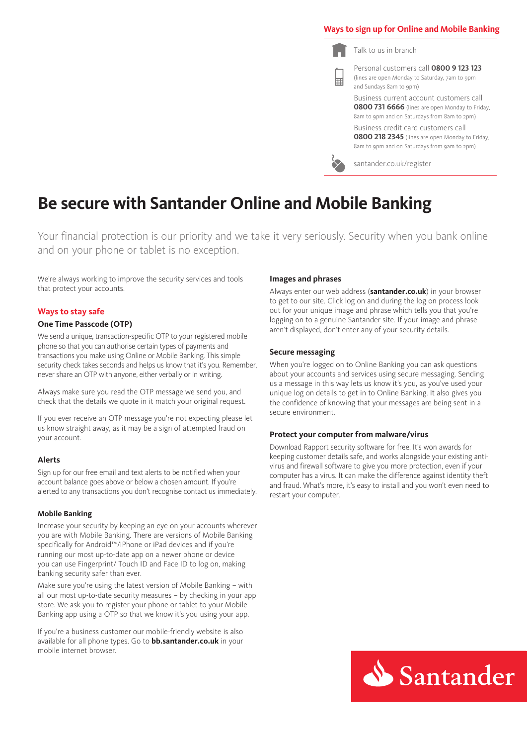# **Ways to sign up for Online and Mobile Banking**

Talk to us in branch

扁

Personal customers call **0800 9 123 123** (lines are open Monday to Saturday, 7am to 9pm and Sundays 8am to 9pm)

Business current account customers call **0800 731 6666** (lines are open Monday to Friday, 8am to 9pm and on Saturdays from 8am to 2pm)

Business credit card customers call **0800 218 2345** (lines are open Monday to Friday, 8am to 9pm and on Saturdays from 9am to 2pm)

santander.co.uk/register

# **Be secure with Santander Online and Mobile Banking**

Your financial protection is our priority and we take it very seriously. Security when you bank online and on your phone or tablet is no exception.

We're always working to improve the security services and tools that protect your accounts.

# **Ways to stay safe**

# **One Time Passcode (OTP)**

We send a unique, transaction-specific OTP to your registered mobile phone so that you can authorise certain types of payments and transactions you make using Online or Mobile Banking. This simple security check takes seconds and helps us know that it's you. Remember, never share an OTP with anyone, either verbally or in writing.

Always make sure you read the OTP message we send you, and check that the details we quote in it match your original request.

If you ever receive an OTP message you're not expecting please let us know straight away, as it may be a sign of attempted fraud on your account.

## **Alerts**

Sign up for our free email and text alerts to be notified when your account balance goes above or below a chosen amount. If you're alerted to any transactions you don't recognise contact us immediately.

#### **Mobile Banking**

Increase your security by keeping an eye on your accounts wherever you are with Mobile Banking. There are versions of Mobile Banking specifically for Android™/iPhone or iPad devices and if you're running our most up-to-date app on a newer phone or device you can use Fingerprint/ Touch ID and Face ID to log on, making banking security safer than ever.

Make sure you're using the latest version of Mobile Banking – with all our most up-to-date security measures – by checking in your app store. We ask you to register your phone or tablet to your Mobile Banking app using a OTP so that we know it's you using your app.

If you're a business customer our mobile-friendly website is also available for all phone types. Go to **bb.santander.co.uk** in your mobile internet browser.

#### **Images and phrases**

Always enter our web address (**santander.co.uk**) in your browser to get to our site. Click log on and during the log on process look out for your unique image and phrase which tells you that you're logging on to a genuine Santander site. If your image and phrase aren't displayed, don't enter any of your security details.

#### **Secure messaging**

When you're logged on to Online Banking you can ask questions about your accounts and services using secure messaging. Sending us a message in this way lets us know it's you, as you've used your unique log on details to get in to Online Banking. It also gives you the confidence of knowing that your messages are being sent in a secure environment.

## **Protect your computer from malware/virus**

Download Rapport security software for free. It's won awards for keeping customer details safe, and works alongside your existing antivirus and firewall software to give you more protection, even if your computer has a virus. It can make the difference against identity theft and fraud. What's more, it's easy to install and you won't even need to restart your computer.